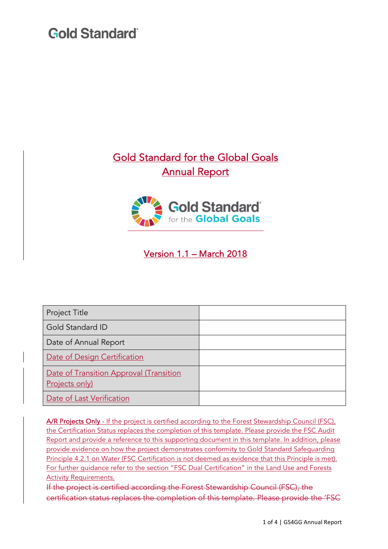### Gold Standard for the Global Goals Annual Report



### Version 1.1 – March 2018

| Project Title                                             |  |
|-----------------------------------------------------------|--|
| Gold Standard ID                                          |  |
| Date of Annual Report                                     |  |
| Date of Design Certification                              |  |
| Date of Transition Approval (Transition<br>Projects only) |  |
| Date of Last Verification                                 |  |

A/R Projects Only - If the project is certified according to the Forest Stewardship Council (FSC), the Certification Status replaces the completion of this template. Please provide the FSC Audit Report and provide a reference to this supporting document in this template. In addition, please provide evidence on how the project demonstrates conformity to Gold Standard Safeguarding Principle 4.2.1 on Water (FSC Certification is not deemed as evidence that this Principle is met). For further guidance refer to the section "FSC Dual Certification" in the Land Use and Forests Activity Requirements.

If the project is certified according the Forest Stewardship Council (FSC), the certification status replaces the completion of this template. Please provide the 'FSC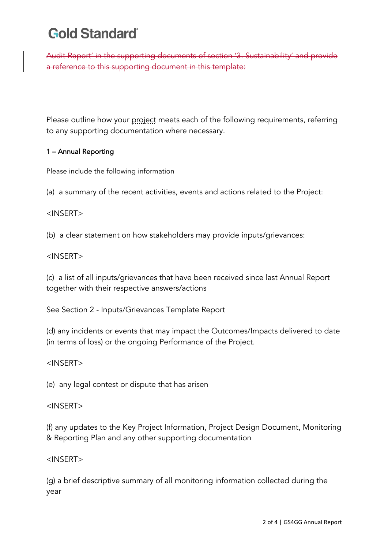Audit Report' in the supporting documents of section '3. Sustainability' and provide a reference to this supporting document in this template:

Please outline how your project meets each of the following requirements, referring to any supporting documentation where necessary.

#### 1 – Annual Reporting

Please include the following information

(a) a summary of the recent activities, events and actions related to the Project:

#### <INSERT>

(b) a clear statement on how stakeholders may provide inputs/grievances:

#### <INSERT>

(c) a list of all inputs/grievances that have been received since last Annual Report together with their respective answers/actions

See Section 2 - Inputs/Grievances Template Report

(d) any incidents or events that may impact the Outcomes/Impacts delivered to date (in terms of loss) or the ongoing Performance of the Project.

#### <INSERT>

(e) any legal contest or dispute that has arisen

#### <INSERT>

(f) any updates to the Key Project Information, Project Design Document, Monitoring & Reporting Plan and any other supporting documentation

#### <INSERT>

(g) a brief descriptive summary of all monitoring information collected during the year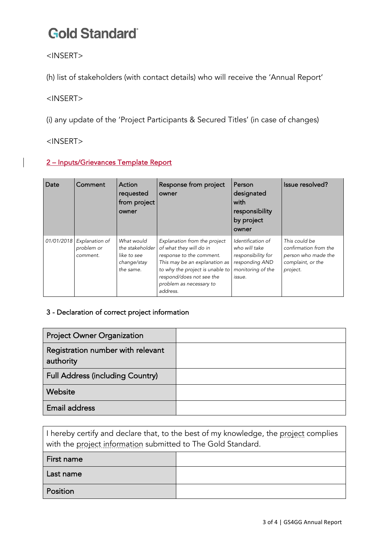<INSERT>

(h) list of stakeholders (with contact details) who will receive the 'Annual Report'

<INSERT>

(i) any update of the 'Project Participants & Secured Titles' (in case of changes)

<INSERT>

#### 2 – Inputs/Grievances Template Report

| Date       | Comment                                  | Action<br>requested<br>from project<br>owner                             | Response from project<br>owner                                                                                                                                                                                             | Person<br>designated<br>with<br>responsibility<br>by project<br>owner                                     | Issue resolved?                                                                                |
|------------|------------------------------------------|--------------------------------------------------------------------------|----------------------------------------------------------------------------------------------------------------------------------------------------------------------------------------------------------------------------|-----------------------------------------------------------------------------------------------------------|------------------------------------------------------------------------------------------------|
| 01/01/2018 | Explanation of<br>problem or<br>comment. | What would<br>the stakeholder<br>like to see<br>change/stay<br>the same. | Explanation from the project<br>of what they will do in<br>response to the comment.<br>This may be an explanation as<br>to why the project is unable to<br>respond/does not see the<br>problem as necessary to<br>address. | Identification of<br>who will take<br>responsibility for<br>responding AND<br>monitoring of the<br>issue. | This could be<br>confirmation from the<br>person who made the<br>complaint, or the<br>project. |

#### 3 - Declaration of correct project information

| <b>Project Owner Organization</b>              |  |
|------------------------------------------------|--|
| Registration number with relevant<br>authority |  |
| <b>Full Address (including Country)</b>        |  |
| Website                                        |  |
| <b>Email address</b>                           |  |

| I hereby certify and declare that, to the best of my knowledge, the project complies<br>with the project information submitted to The Gold Standard. |  |  |  |  |
|------------------------------------------------------------------------------------------------------------------------------------------------------|--|--|--|--|
| First name                                                                                                                                           |  |  |  |  |
| Last name                                                                                                                                            |  |  |  |  |
| Position                                                                                                                                             |  |  |  |  |